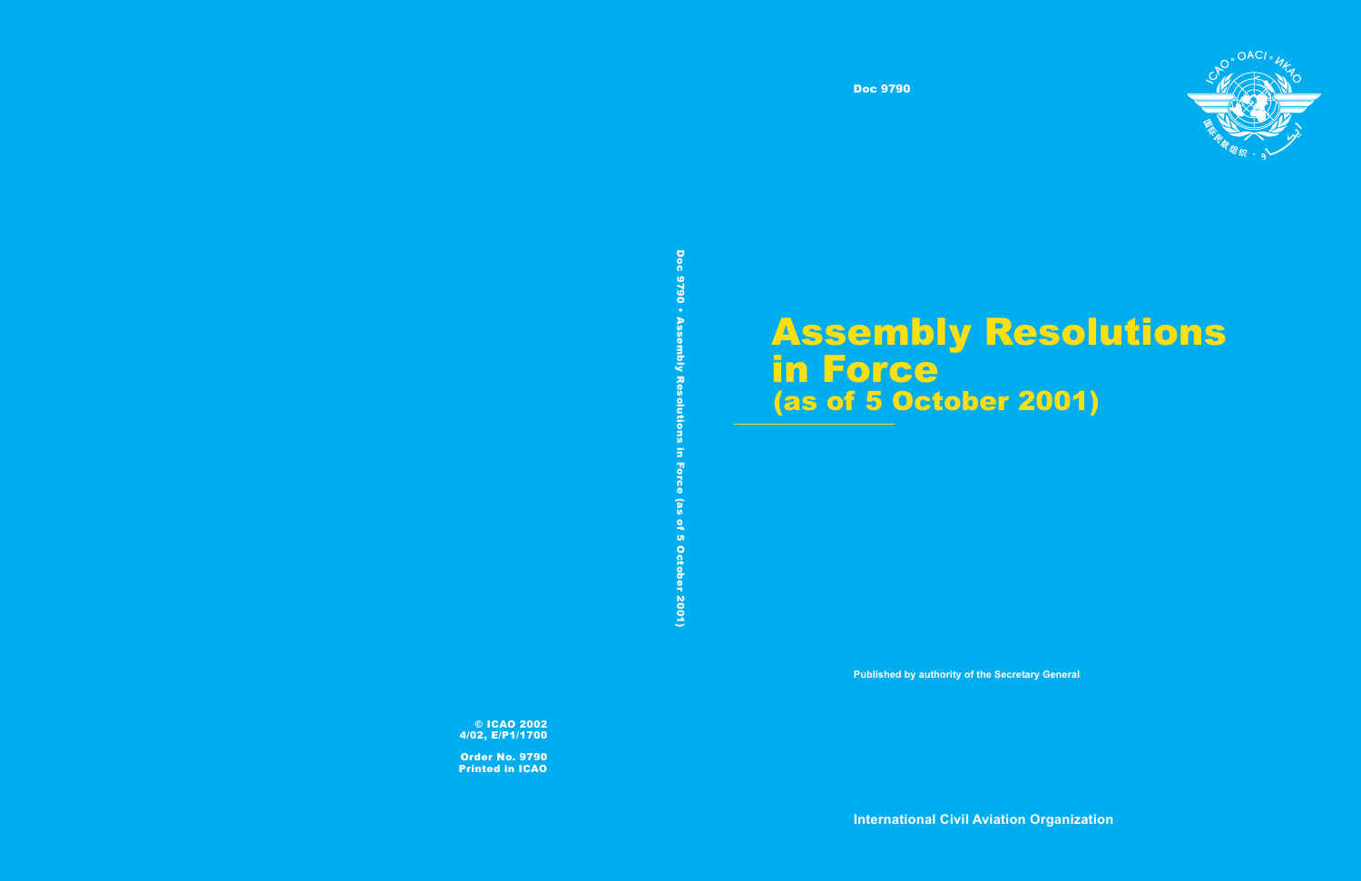Doc 9790



# Assembly Resolutions in Force <u>2001) (as of 5 October 2001)</u><br>2001)<br>2001 - China Britannic Control<br>2001 - China Britannic Control<br>2001 - China Britannic Control<br>2001 - China Britannic Control<br>2001 - China Britannic Control<br>2001 - China Britannic Control

**Published by authority of the Secretary General**

**International Civil Aviation Organization**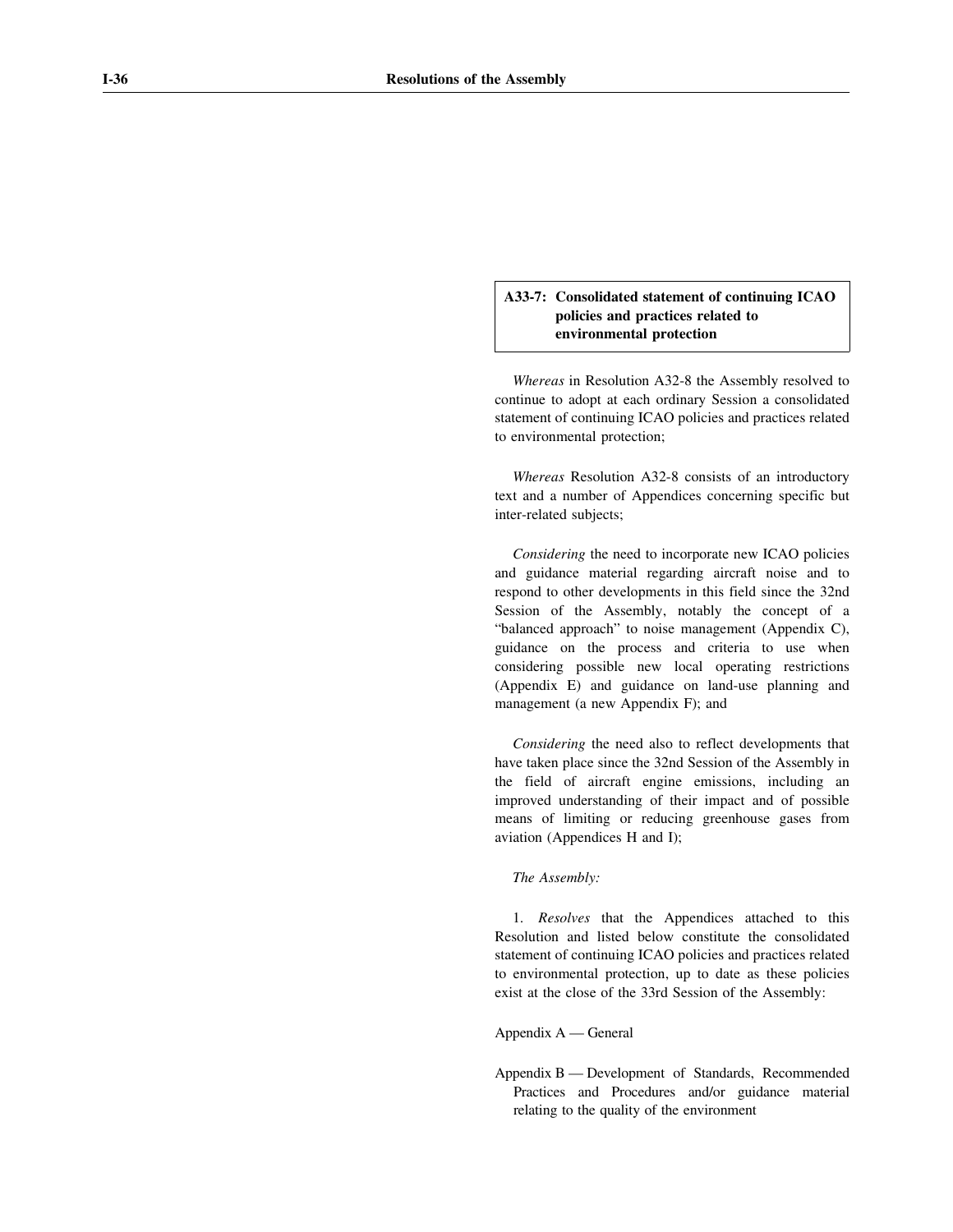# **A33-7: Consolidated statement of continuing ICAO policies and practices related to environmental protection**

*Whereas* in Resolution A32-8 the Assembly resolved to continue to adopt at each ordinary Session a consolidated statement of continuing ICAO policies and practices related to environmental protection;

*Whereas* Resolution A32-8 consists of an introductory text and a number of Appendices concerning specific but inter-related subjects;

*Considering* the need to incorporate new ICAO policies and guidance material regarding aircraft noise and to respond to other developments in this field since the 32nd Session of the Assembly, notably the concept of a "balanced approach" to noise management (Appendix C), guidance on the process and criteria to use when considering possible new local operating restrictions (Appendix E) and guidance on land-use planning and management (a new Appendix F); and

*Considering* the need also to reflect developments that have taken place since the 32nd Session of the Assembly in the field of aircraft engine emissions, including an improved understanding of their impact and of possible means of limiting or reducing greenhouse gases from aviation (Appendices H and I);

#### *The Assembly:*

1. *Resolves* that the Appendices attached to this Resolution and listed below constitute the consolidated statement of continuing ICAO policies and practices related to environmental protection, up to date as these policies exist at the close of the 33rd Session of the Assembly:

## Appendix A — General

Appendix B — Development of Standards, Recommended Practices and Procedures and/or guidance material relating to the quality of the environment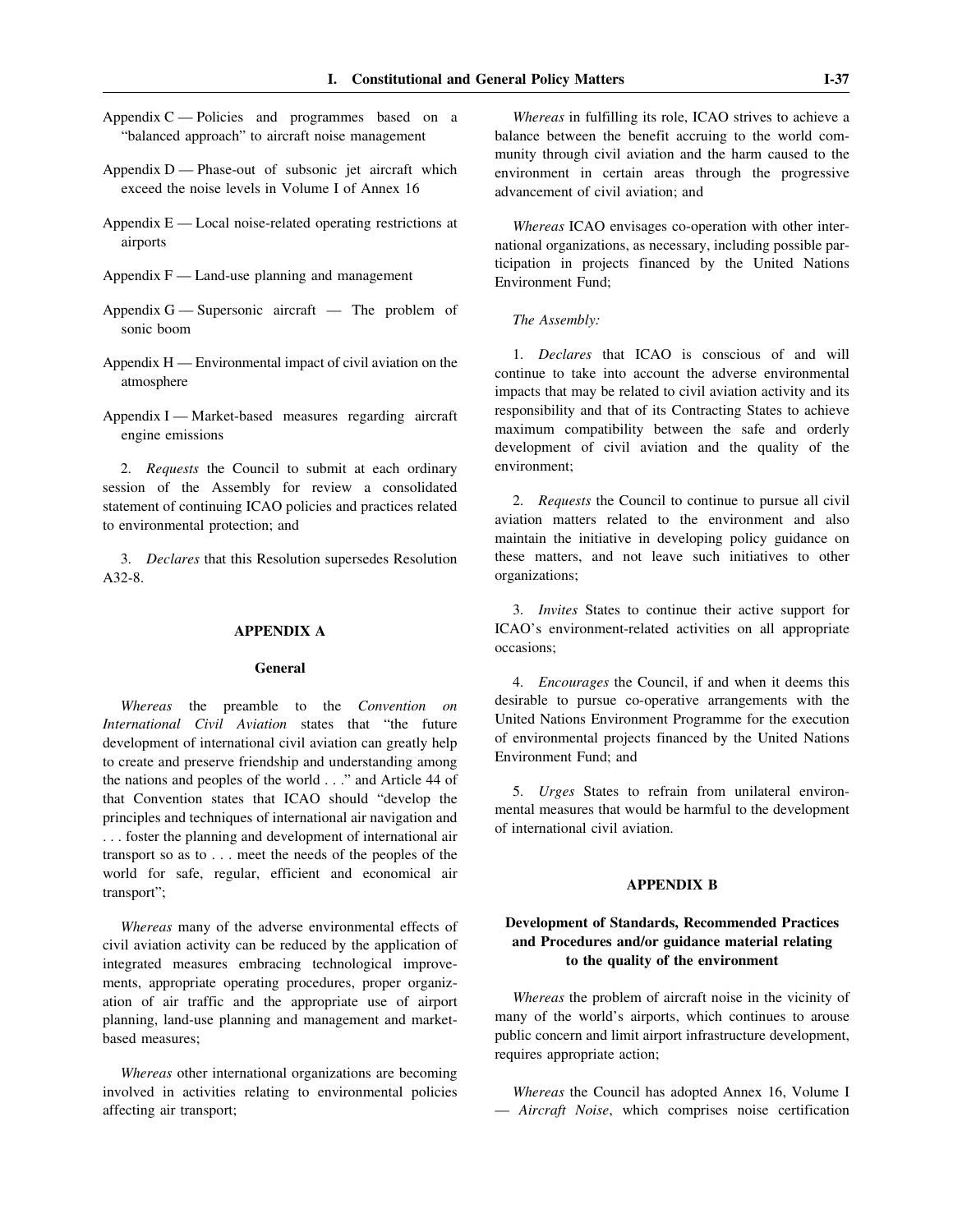- Appendix C Policies and programmes based on a "balanced approach" to aircraft noise management
- Appendix D Phase-out of subsonic jet aircraft which exceed the noise levels in Volume I of Annex 16
- Appendix E Local noise-related operating restrictions at airports
- Appendix  $F -$  Land-use planning and management
- Appendix G Supersonic aircraft The problem of sonic boom
- Appendix H Environmental impact of civil aviation on the atmosphere
- Appendix I Market-based measures regarding aircraft engine emissions

2. *Requests* the Council to submit at each ordinary session of the Assembly for review a consolidated statement of continuing ICAO policies and practices related to environmental protection; and

3. *Declares* that this Resolution supersedes Resolution A32-8.

## **APPENDIX A**

## **General**

*Whereas* the preamble to the *Convention on International Civil Aviation* states that "the future development of international civil aviation can greatly help to create and preserve friendship and understanding among the nations and peoples of the world . . ." and Article 44 of that Convention states that ICAO should "develop the principles and techniques of international air navigation and . . . foster the planning and development of international air transport so as to . . . meet the needs of the peoples of the world for safe, regular, efficient and economical air transport";

*Whereas* many of the adverse environmental effects of civil aviation activity can be reduced by the application of integrated measures embracing technological improvements, appropriate operating procedures, proper organization of air traffic and the appropriate use of airport planning, land-use planning and management and marketbased measures;

*Whereas* other international organizations are becoming involved in activities relating to environmental policies affecting air transport;

*Whereas* in fulfilling its role, ICAO strives to achieve a balance between the benefit accruing to the world community through civil aviation and the harm caused to the environment in certain areas through the progressive advancement of civil aviation; and

*Whereas* ICAO envisages co-operation with other international organizations, as necessary, including possible participation in projects financed by the United Nations Environment Fund;

## *The Assembly:*

1. *Declares* that ICAO is conscious of and will continue to take into account the adverse environmental impacts that may be related to civil aviation activity and its responsibility and that of its Contracting States to achieve maximum compatibility between the safe and orderly development of civil aviation and the quality of the environment;

2. *Requests* the Council to continue to pursue all civil aviation matters related to the environment and also maintain the initiative in developing policy guidance on these matters, and not leave such initiatives to other organizations;

3. *Invites* States to continue their active support for ICAO's environment-related activities on all appropriate occasions;

4. *Encourages* the Council, if and when it deems this desirable to pursue co-operative arrangements with the United Nations Environment Programme for the execution of environmental projects financed by the United Nations Environment Fund; and

5. *Urges* States to refrain from unilateral environmental measures that would be harmful to the development of international civil aviation.

## **APPENDIX B**

# **Development of Standards, Recommended Practices and Procedures and/or guidance material relating to the quality of the environment**

*Whereas* the problem of aircraft noise in the vicinity of many of the world's airports, which continues to arouse public concern and limit airport infrastructure development, requires appropriate action;

*Whereas* the Council has adopted Annex 16, Volume I — *Aircraft Noise*, which comprises noise certification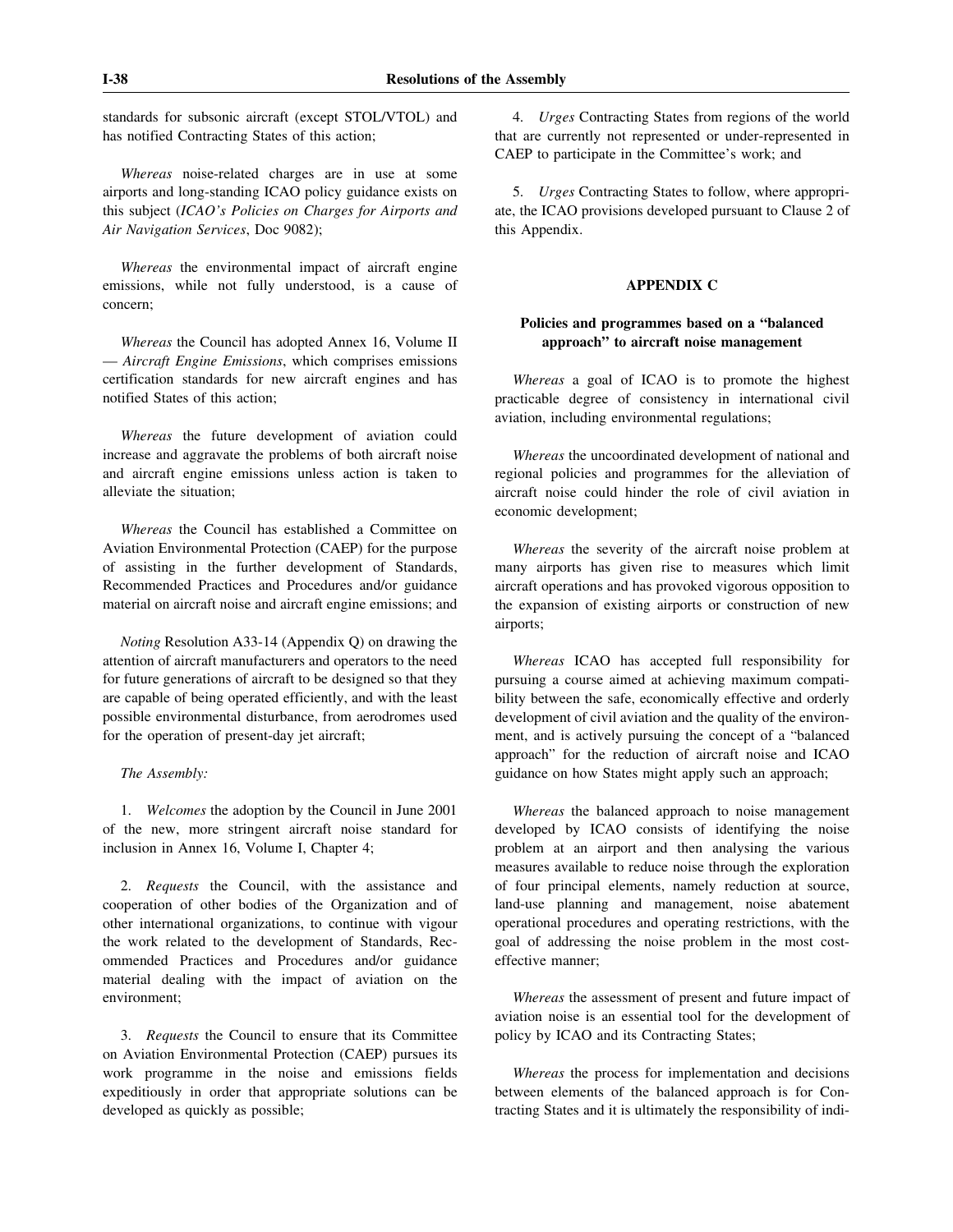standards for subsonic aircraft (except STOL/VTOL) and has notified Contracting States of this action;

*Whereas* noise-related charges are in use at some airports and long-standing ICAO policy guidance exists on this subject (*ICAO's Policies on Charges for Airports and Air Navigation Services*, Doc 9082);

*Whereas* the environmental impact of aircraft engine emissions, while not fully understood, is a cause of concern;

*Whereas* the Council has adopted Annex 16, Volume II — *Aircraft Engine Emissions*, which comprises emissions certification standards for new aircraft engines and has notified States of this action;

*Whereas* the future development of aviation could increase and aggravate the problems of both aircraft noise and aircraft engine emissions unless action is taken to alleviate the situation;

*Whereas* the Council has established a Committee on Aviation Environmental Protection (CAEP) for the purpose of assisting in the further development of Standards, Recommended Practices and Procedures and/or guidance material on aircraft noise and aircraft engine emissions; and

*Noting* Resolution A33-14 (Appendix Q) on drawing the attention of aircraft manufacturers and operators to the need for future generations of aircraft to be designed so that they are capable of being operated efficiently, and with the least possible environmental disturbance, from aerodromes used for the operation of present-day jet aircraft;

## *The Assembly:*

1. *Welcomes* the adoption by the Council in June 2001 of the new, more stringent aircraft noise standard for inclusion in Annex 16, Volume I, Chapter 4;

2. *Requests* the Council, with the assistance and cooperation of other bodies of the Organization and of other international organizations, to continue with vigour the work related to the development of Standards, Recommended Practices and Procedures and/or guidance material dealing with the impact of aviation on the environment;

3. *Requests* the Council to ensure that its Committee on Aviation Environmental Protection (CAEP) pursues its work programme in the noise and emissions fields expeditiously in order that appropriate solutions can be developed as quickly as possible;

4. *Urges* Contracting States from regions of the world that are currently not represented or under-represented in CAEP to participate in the Committee's work; and

5. *Urges* Contracting States to follow, where appropriate, the ICAO provisions developed pursuant to Clause 2 of this Appendix.

## **APPENDIX C**

# **Policies and programmes based on a "balanced approach" to aircraft noise management**

*Whereas* a goal of ICAO is to promote the highest practicable degree of consistency in international civil aviation, including environmental regulations;

*Whereas* the uncoordinated development of national and regional policies and programmes for the alleviation of aircraft noise could hinder the role of civil aviation in economic development;

*Whereas* the severity of the aircraft noise problem at many airports has given rise to measures which limit aircraft operations and has provoked vigorous opposition to the expansion of existing airports or construction of new airports;

*Whereas* ICAO has accepted full responsibility for pursuing a course aimed at achieving maximum compatibility between the safe, economically effective and orderly development of civil aviation and the quality of the environment, and is actively pursuing the concept of a "balanced approach" for the reduction of aircraft noise and ICAO guidance on how States might apply such an approach;

*Whereas* the balanced approach to noise management developed by ICAO consists of identifying the noise problem at an airport and then analysing the various measures available to reduce noise through the exploration of four principal elements, namely reduction at source, land-use planning and management, noise abatement operational procedures and operating restrictions, with the goal of addressing the noise problem in the most costeffective manner;

*Whereas* the assessment of present and future impact of aviation noise is an essential tool for the development of policy by ICAO and its Contracting States;

*Whereas* the process for implementation and decisions between elements of the balanced approach is for Contracting States and it is ultimately the responsibility of indi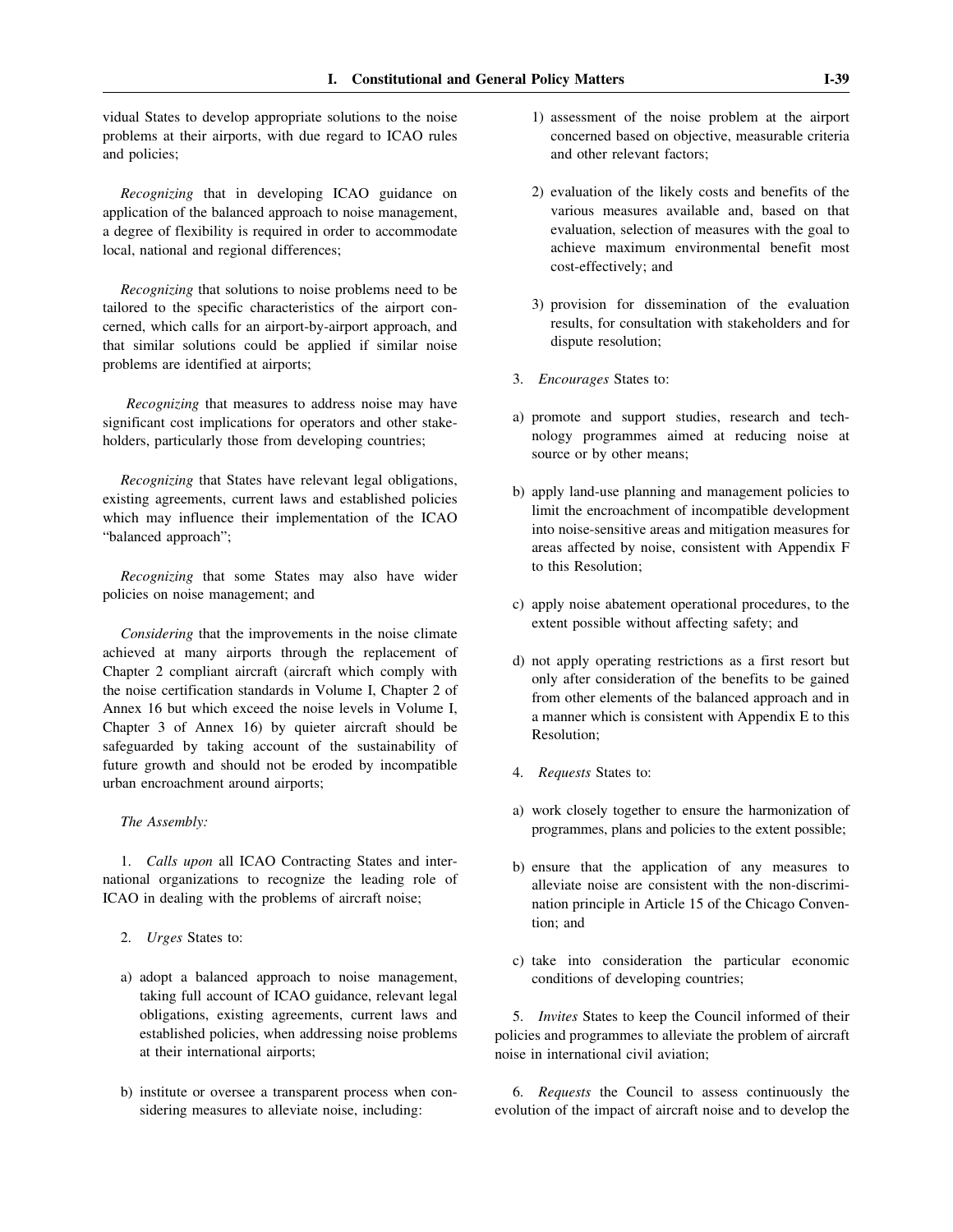vidual States to develop appropriate solutions to the noise problems at their airports, with due regard to ICAO rules and policies;

*Recognizing* that in developing ICAO guidance on application of the balanced approach to noise management, a degree of flexibility is required in order to accommodate local, national and regional differences;

*Recognizing* that solutions to noise problems need to be tailored to the specific characteristics of the airport concerned, which calls for an airport-by-airport approach, and that similar solutions could be applied if similar noise problems are identified at airports;

*Recognizing* that measures to address noise may have significant cost implications for operators and other stakeholders, particularly those from developing countries;

*Recognizing* that States have relevant legal obligations, existing agreements, current laws and established policies which may influence their implementation of the ICAO "balanced approach";

*Recognizing* that some States may also have wider policies on noise management; and

*Considering* that the improvements in the noise climate achieved at many airports through the replacement of Chapter 2 compliant aircraft (aircraft which comply with the noise certification standards in Volume I, Chapter 2 of Annex 16 but which exceed the noise levels in Volume I, Chapter 3 of Annex 16) by quieter aircraft should be safeguarded by taking account of the sustainability of future growth and should not be eroded by incompatible urban encroachment around airports;

*The Assembly:*

1. *Calls upon* all ICAO Contracting States and international organizations to recognize the leading role of ICAO in dealing with the problems of aircraft noise;

- 2. *Urges* States to:
- a) adopt a balanced approach to noise management, taking full account of ICAO guidance, relevant legal obligations, existing agreements, current laws and established policies, when addressing noise problems at their international airports;
- b) institute or oversee a transparent process when considering measures to alleviate noise, including:
- 1) assessment of the noise problem at the airport concerned based on objective, measurable criteria and other relevant factors;
- 2) evaluation of the likely costs and benefits of the various measures available and, based on that evaluation, selection of measures with the goal to achieve maximum environmental benefit most cost-effectively; and
- 3) provision for dissemination of the evaluation results, for consultation with stakeholders and for dispute resolution;
- 3. *Encourages* States to:
- a) promote and support studies, research and technology programmes aimed at reducing noise at source or by other means;
- b) apply land-use planning and management policies to limit the encroachment of incompatible development into noise-sensitive areas and mitigation measures for areas affected by noise, consistent with Appendix F to this Resolution;
- c) apply noise abatement operational procedures, to the extent possible without affecting safety; and
- d) not apply operating restrictions as a first resort but only after consideration of the benefits to be gained from other elements of the balanced approach and in a manner which is consistent with Appendix E to this Resolution;
- 4. *Requests* States to:
- a) work closely together to ensure the harmonization of programmes, plans and policies to the extent possible;
- b) ensure that the application of any measures to alleviate noise are consistent with the non-discrimination principle in Article 15 of the Chicago Convention; and
- c) take into consideration the particular economic conditions of developing countries;

5. *Invites* States to keep the Council informed of their policies and programmes to alleviate the problem of aircraft noise in international civil aviation;

6. *Requests* the Council to assess continuously the evolution of the impact of aircraft noise and to develop the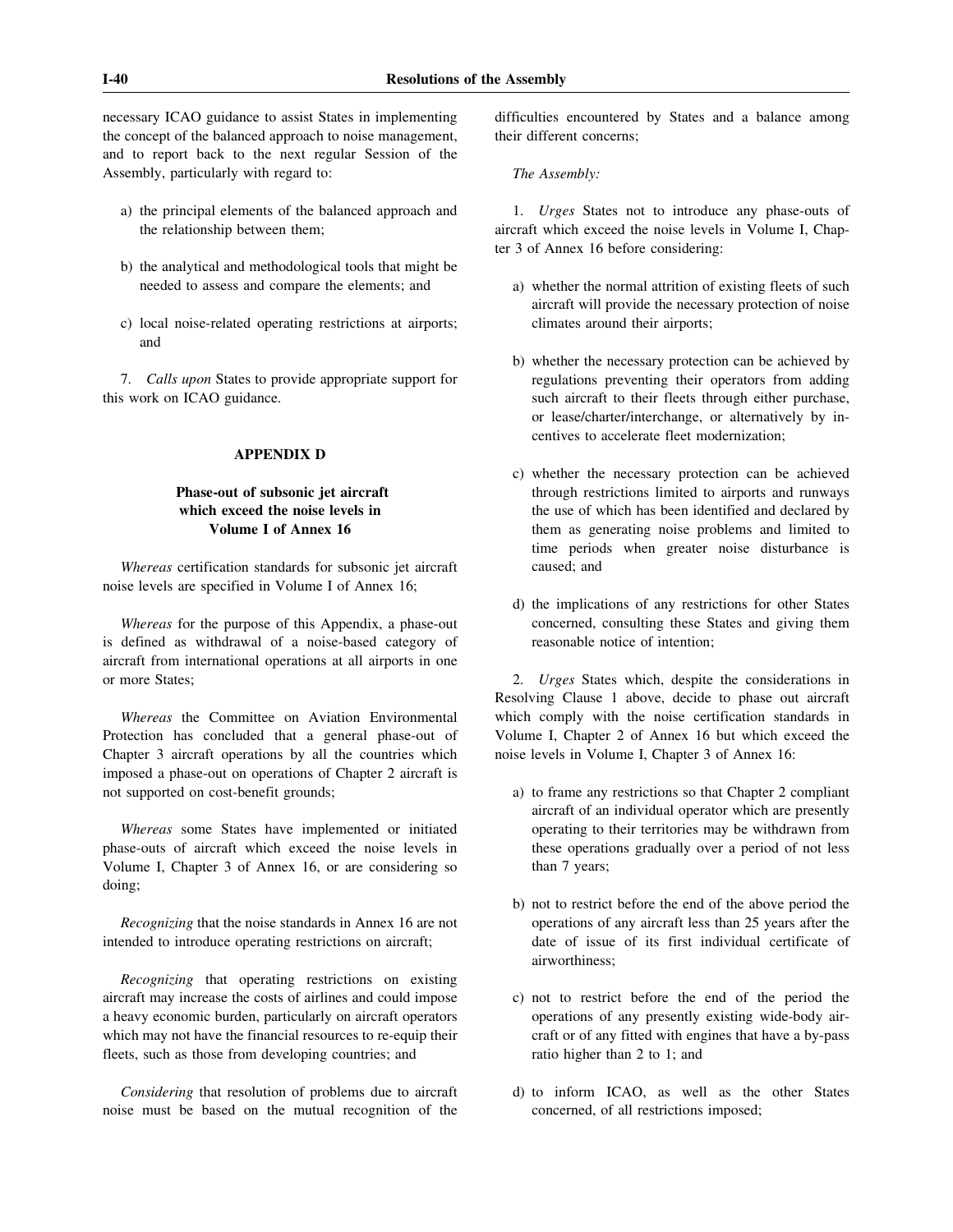necessary ICAO guidance to assist States in implementing the concept of the balanced approach to noise management, and to report back to the next regular Session of the Assembly, particularly with regard to:

- a) the principal elements of the balanced approach and the relationship between them;
- b) the analytical and methodological tools that might be needed to assess and compare the elements; and
- c) local noise-related operating restrictions at airports; and

7. *Calls upon* States to provide appropriate support for this work on ICAO guidance.

# **APPENDIX D**

# **Phase-out of subsonic jet aircraft which exceed the noise levels in Volume I of Annex 16**

*Whereas* certification standards for subsonic jet aircraft noise levels are specified in Volume I of Annex 16;

*Whereas* for the purpose of this Appendix, a phase-out is defined as withdrawal of a noise-based category of aircraft from international operations at all airports in one or more States;

*Whereas* the Committee on Aviation Environmental Protection has concluded that a general phase-out of Chapter 3 aircraft operations by all the countries which imposed a phase-out on operations of Chapter 2 aircraft is not supported on cost-benefit grounds;

*Whereas* some States have implemented or initiated phase-outs of aircraft which exceed the noise levels in Volume I, Chapter 3 of Annex 16, or are considering so doing;

*Recognizing* that the noise standards in Annex 16 are not intended to introduce operating restrictions on aircraft;

*Recognizing* that operating restrictions on existing aircraft may increase the costs of airlines and could impose a heavy economic burden, particularly on aircraft operators which may not have the financial resources to re-equip their fleets, such as those from developing countries; and

*Considering* that resolution of problems due to aircraft noise must be based on the mutual recognition of the difficulties encountered by States and a balance among their different concerns;

*The Assembly:*

1. *Urges* States not to introduce any phase-outs of aircraft which exceed the noise levels in Volume I, Chapter 3 of Annex 16 before considering:

- a) whether the normal attrition of existing fleets of such aircraft will provide the necessary protection of noise climates around their airports;
- b) whether the necessary protection can be achieved by regulations preventing their operators from adding such aircraft to their fleets through either purchase, or lease/charter/interchange, or alternatively by incentives to accelerate fleet modernization;
- c) whether the necessary protection can be achieved through restrictions limited to airports and runways the use of which has been identified and declared by them as generating noise problems and limited to time periods when greater noise disturbance is caused; and
- d) the implications of any restrictions for other States concerned, consulting these States and giving them reasonable notice of intention;

2. *Urges* States which, despite the considerations in Resolving Clause 1 above, decide to phase out aircraft which comply with the noise certification standards in Volume I, Chapter 2 of Annex 16 but which exceed the noise levels in Volume I, Chapter 3 of Annex 16:

- a) to frame any restrictions so that Chapter 2 compliant aircraft of an individual operator which are presently operating to their territories may be withdrawn from these operations gradually over a period of not less than 7 years;
- b) not to restrict before the end of the above period the operations of any aircraft less than 25 years after the date of issue of its first individual certificate of airworthiness;
- c) not to restrict before the end of the period the operations of any presently existing wide-body aircraft or of any fitted with engines that have a by-pass ratio higher than 2 to 1; and
- d) to inform ICAO, as well as the other States concerned, of all restrictions imposed;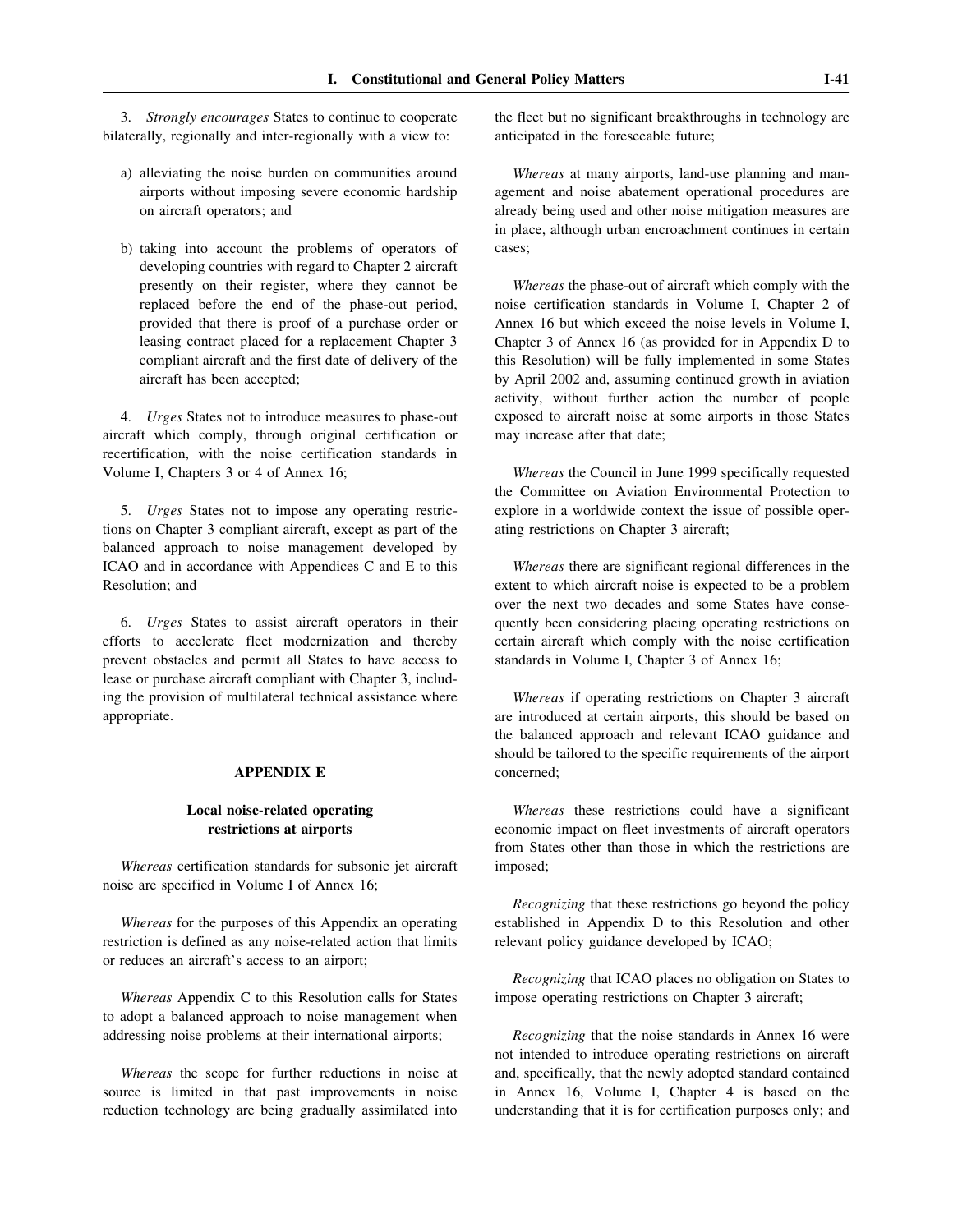3. *Strongly encourages* States to continue to cooperate bilaterally, regionally and inter-regionally with a view to:

- a) alleviating the noise burden on communities around airports without imposing severe economic hardship on aircraft operators; and
- b) taking into account the problems of operators of developing countries with regard to Chapter 2 aircraft presently on their register, where they cannot be replaced before the end of the phase-out period, provided that there is proof of a purchase order or leasing contract placed for a replacement Chapter 3 compliant aircraft and the first date of delivery of the aircraft has been accepted;

4. *Urges* States not to introduce measures to phase-out aircraft which comply, through original certification or recertification, with the noise certification standards in Volume I, Chapters 3 or 4 of Annex 16;

5. *Urges* States not to impose any operating restrictions on Chapter 3 compliant aircraft, except as part of the balanced approach to noise management developed by ICAO and in accordance with Appendices C and E to this Resolution; and

6. *Urges* States to assist aircraft operators in their efforts to accelerate fleet modernization and thereby prevent obstacles and permit all States to have access to lease or purchase aircraft compliant with Chapter 3, including the provision of multilateral technical assistance where appropriate.

## **APPENDIX E**

## **Local noise-related operating restrictions at airports**

*Whereas* certification standards for subsonic jet aircraft noise are specified in Volume I of Annex 16;

*Whereas* for the purposes of this Appendix an operating restriction is defined as any noise-related action that limits or reduces an aircraft's access to an airport;

*Whereas* Appendix C to this Resolution calls for States to adopt a balanced approach to noise management when addressing noise problems at their international airports;

*Whereas* the scope for further reductions in noise at source is limited in that past improvements in noise reduction technology are being gradually assimilated into

the fleet but no significant breakthroughs in technology are anticipated in the foreseeable future;

*Whereas* at many airports, land-use planning and management and noise abatement operational procedures are already being used and other noise mitigation measures are in place, although urban encroachment continues in certain cases;

*Whereas* the phase-out of aircraft which comply with the noise certification standards in Volume I, Chapter 2 of Annex 16 but which exceed the noise levels in Volume I, Chapter 3 of Annex 16 (as provided for in Appendix D to this Resolution) will be fully implemented in some States by April 2002 and, assuming continued growth in aviation activity, without further action the number of people exposed to aircraft noise at some airports in those States may increase after that date;

*Whereas* the Council in June 1999 specifically requested the Committee on Aviation Environmental Protection to explore in a worldwide context the issue of possible operating restrictions on Chapter 3 aircraft;

*Whereas* there are significant regional differences in the extent to which aircraft noise is expected to be a problem over the next two decades and some States have consequently been considering placing operating restrictions on certain aircraft which comply with the noise certification standards in Volume I, Chapter 3 of Annex 16;

*Whereas* if operating restrictions on Chapter 3 aircraft are introduced at certain airports, this should be based on the balanced approach and relevant ICAO guidance and should be tailored to the specific requirements of the airport concerned;

*Whereas* these restrictions could have a significant economic impact on fleet investments of aircraft operators from States other than those in which the restrictions are imposed;

*Recognizing* that these restrictions go beyond the policy established in Appendix D to this Resolution and other relevant policy guidance developed by ICAO;

*Recognizing* that ICAO places no obligation on States to impose operating restrictions on Chapter 3 aircraft;

*Recognizing* that the noise standards in Annex 16 were not intended to introduce operating restrictions on aircraft and, specifically, that the newly adopted standard contained in Annex 16, Volume I, Chapter 4 is based on the understanding that it is for certification purposes only; and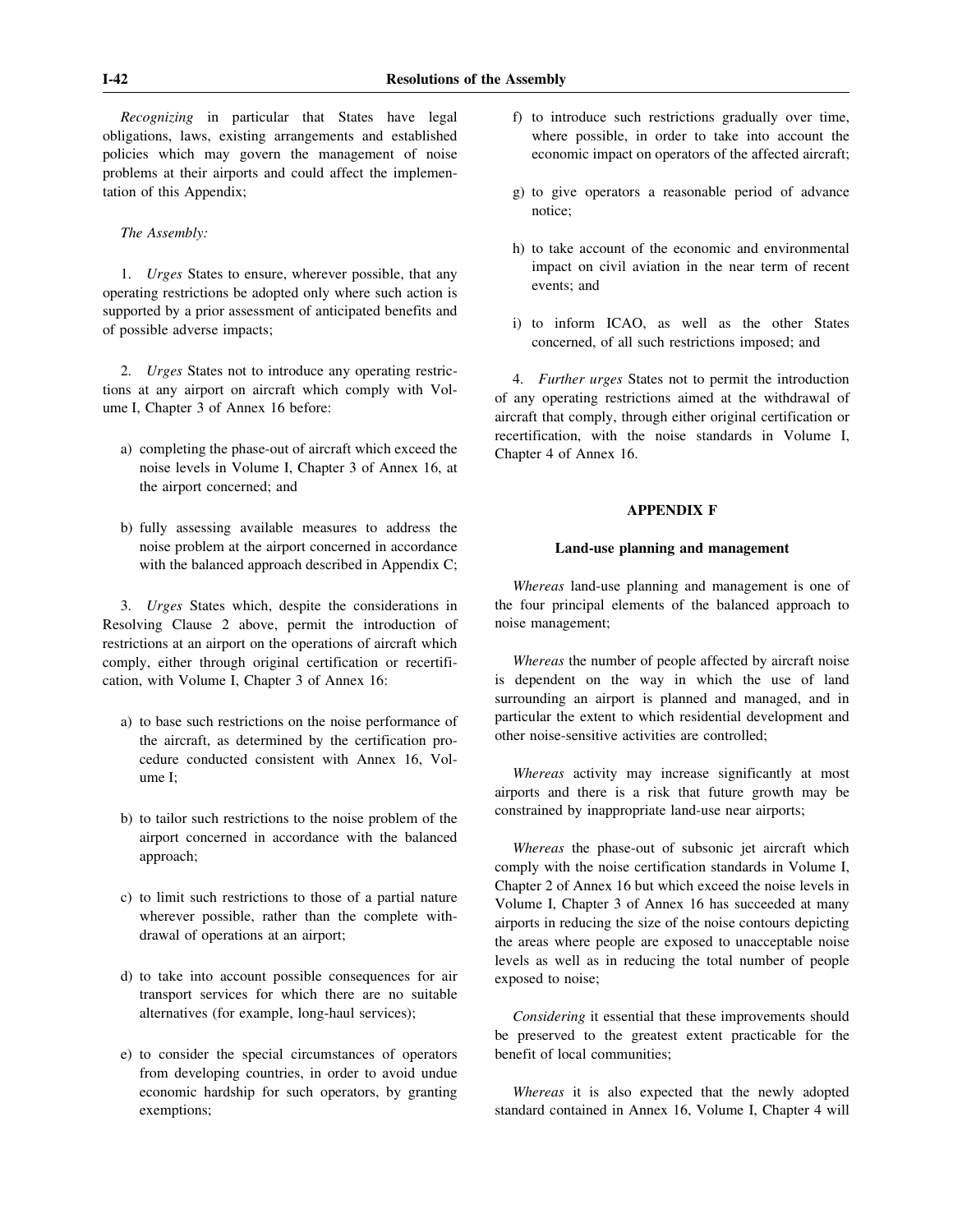*Recognizing* in particular that States have legal obligations, laws, existing arrangements and established policies which may govern the management of noise problems at their airports and could affect the implementation of this Appendix;

## *The Assembly:*

1. *Urges* States to ensure, wherever possible, that any operating restrictions be adopted only where such action is supported by a prior assessment of anticipated benefits and of possible adverse impacts;

2. *Urges* States not to introduce any operating restrictions at any airport on aircraft which comply with Volume I, Chapter 3 of Annex 16 before:

- a) completing the phase-out of aircraft which exceed the noise levels in Volume I, Chapter 3 of Annex 16, at the airport concerned; and
- b) fully assessing available measures to address the noise problem at the airport concerned in accordance with the balanced approach described in Appendix C;

3. *Urges* States which, despite the considerations in Resolving Clause 2 above, permit the introduction of restrictions at an airport on the operations of aircraft which comply, either through original certification or recertification, with Volume I, Chapter 3 of Annex 16:

- a) to base such restrictions on the noise performance of the aircraft, as determined by the certification procedure conducted consistent with Annex 16, Volume I;
- b) to tailor such restrictions to the noise problem of the airport concerned in accordance with the balanced approach;
- c) to limit such restrictions to those of a partial nature wherever possible, rather than the complete withdrawal of operations at an airport;
- d) to take into account possible consequences for air transport services for which there are no suitable alternatives (for example, long-haul services);
- e) to consider the special circumstances of operators from developing countries, in order to avoid undue economic hardship for such operators, by granting exemptions;
- f) to introduce such restrictions gradually over time, where possible, in order to take into account the economic impact on operators of the affected aircraft;
- g) to give operators a reasonable period of advance notice;
- h) to take account of the economic and environmental impact on civil aviation in the near term of recent events; and
- i) to inform ICAO, as well as the other States concerned, of all such restrictions imposed; and

4. *Further urges* States not to permit the introduction of any operating restrictions aimed at the withdrawal of aircraft that comply, through either original certification or recertification, with the noise standards in Volume I, Chapter 4 of Annex 16.

#### **APPENDIX F**

## **Land-use planning and management**

*Whereas* land-use planning and management is one of the four principal elements of the balanced approach to noise management;

*Whereas* the number of people affected by aircraft noise is dependent on the way in which the use of land surrounding an airport is planned and managed, and in particular the extent to which residential development and other noise-sensitive activities are controlled;

*Whereas* activity may increase significantly at most airports and there is a risk that future growth may be constrained by inappropriate land-use near airports;

*Whereas* the phase-out of subsonic jet aircraft which comply with the noise certification standards in Volume I, Chapter 2 of Annex 16 but which exceed the noise levels in Volume I, Chapter 3 of Annex 16 has succeeded at many airports in reducing the size of the noise contours depicting the areas where people are exposed to unacceptable noise levels as well as in reducing the total number of people exposed to noise;

*Considering* it essential that these improvements should be preserved to the greatest extent practicable for the benefit of local communities;

*Whereas* it is also expected that the newly adopted standard contained in Annex 16, Volume I, Chapter 4 will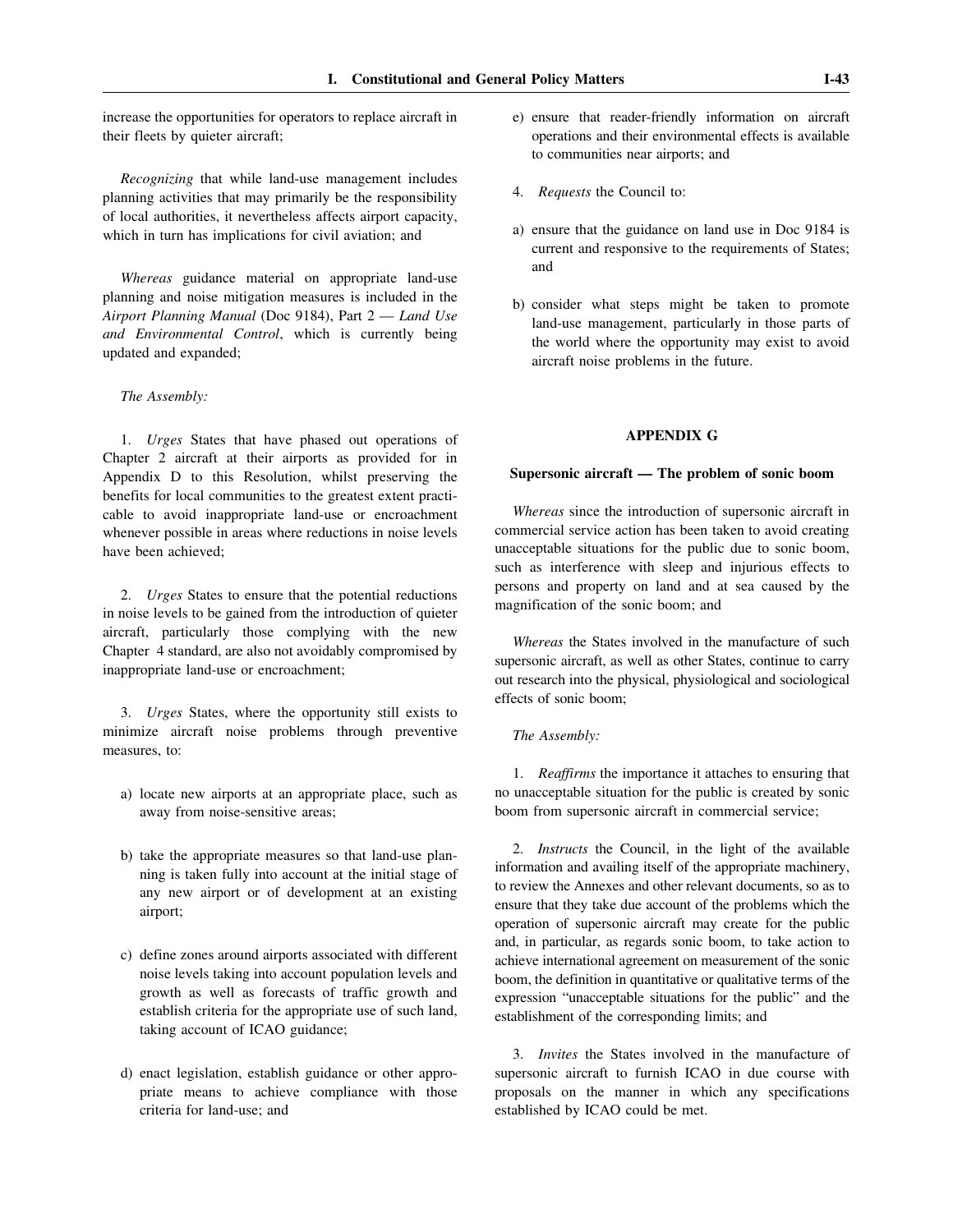increase the opportunities for operators to replace aircraft in their fleets by quieter aircraft;

*Recognizing* that while land-use management includes planning activities that may primarily be the responsibility of local authorities, it nevertheless affects airport capacity, which in turn has implications for civil aviation; and

*Whereas* guidance material on appropriate land-use planning and noise mitigation measures is included in the *Airport Planning Manual* (Doc 9184), Part 2 — *Land Use and Environmental Control*, which is currently being updated and expanded;

#### *The Assembly:*

1. *Urges* States that have phased out operations of Chapter 2 aircraft at their airports as provided for in Appendix D to this Resolution, whilst preserving the benefits for local communities to the greatest extent practicable to avoid inappropriate land-use or encroachment whenever possible in areas where reductions in noise levels have been achieved;

2. *Urges* States to ensure that the potential reductions in noise levels to be gained from the introduction of quieter aircraft, particularly those complying with the new Chapter 4 standard, are also not avoidably compromised by inappropriate land-use or encroachment;

3. *Urges* States, where the opportunity still exists to minimize aircraft noise problems through preventive measures, to:

- a) locate new airports at an appropriate place, such as away from noise-sensitive areas;
- b) take the appropriate measures so that land-use planning is taken fully into account at the initial stage of any new airport or of development at an existing airport;
- c) define zones around airports associated with different noise levels taking into account population levels and growth as well as forecasts of traffic growth and establish criteria for the appropriate use of such land, taking account of ICAO guidance;
- d) enact legislation, establish guidance or other appropriate means to achieve compliance with those criteria for land-use; and
- e) ensure that reader-friendly information on aircraft operations and their environmental effects is available to communities near airports; and
- 4. *Requests* the Council to:
- a) ensure that the guidance on land use in Doc 9184 is current and responsive to the requirements of States; and
- b) consider what steps might be taken to promote land-use management, particularly in those parts of the world where the opportunity may exist to avoid aircraft noise problems in the future.

## **APPENDIX G**

## **Supersonic aircraft — The problem of sonic boom**

*Whereas* since the introduction of supersonic aircraft in commercial service action has been taken to avoid creating unacceptable situations for the public due to sonic boom, such as interference with sleep and injurious effects to persons and property on land and at sea caused by the magnification of the sonic boom; and

*Whereas* the States involved in the manufacture of such supersonic aircraft, as well as other States, continue to carry out research into the physical, physiological and sociological effects of sonic boom;

## *The Assembly:*

1. *Reaffirms* the importance it attaches to ensuring that no unacceptable situation for the public is created by sonic boom from supersonic aircraft in commercial service;

2. *Instructs* the Council, in the light of the available information and availing itself of the appropriate machinery, to review the Annexes and other relevant documents, so as to ensure that they take due account of the problems which the operation of supersonic aircraft may create for the public and, in particular, as regards sonic boom, to take action to achieve international agreement on measurement of the sonic boom, the definition in quantitative or qualitative terms of the expression "unacceptable situations for the public" and the establishment of the corresponding limits; and

3. *Invites* the States involved in the manufacture of supersonic aircraft to furnish ICAO in due course with proposals on the manner in which any specifications established by ICAO could be met.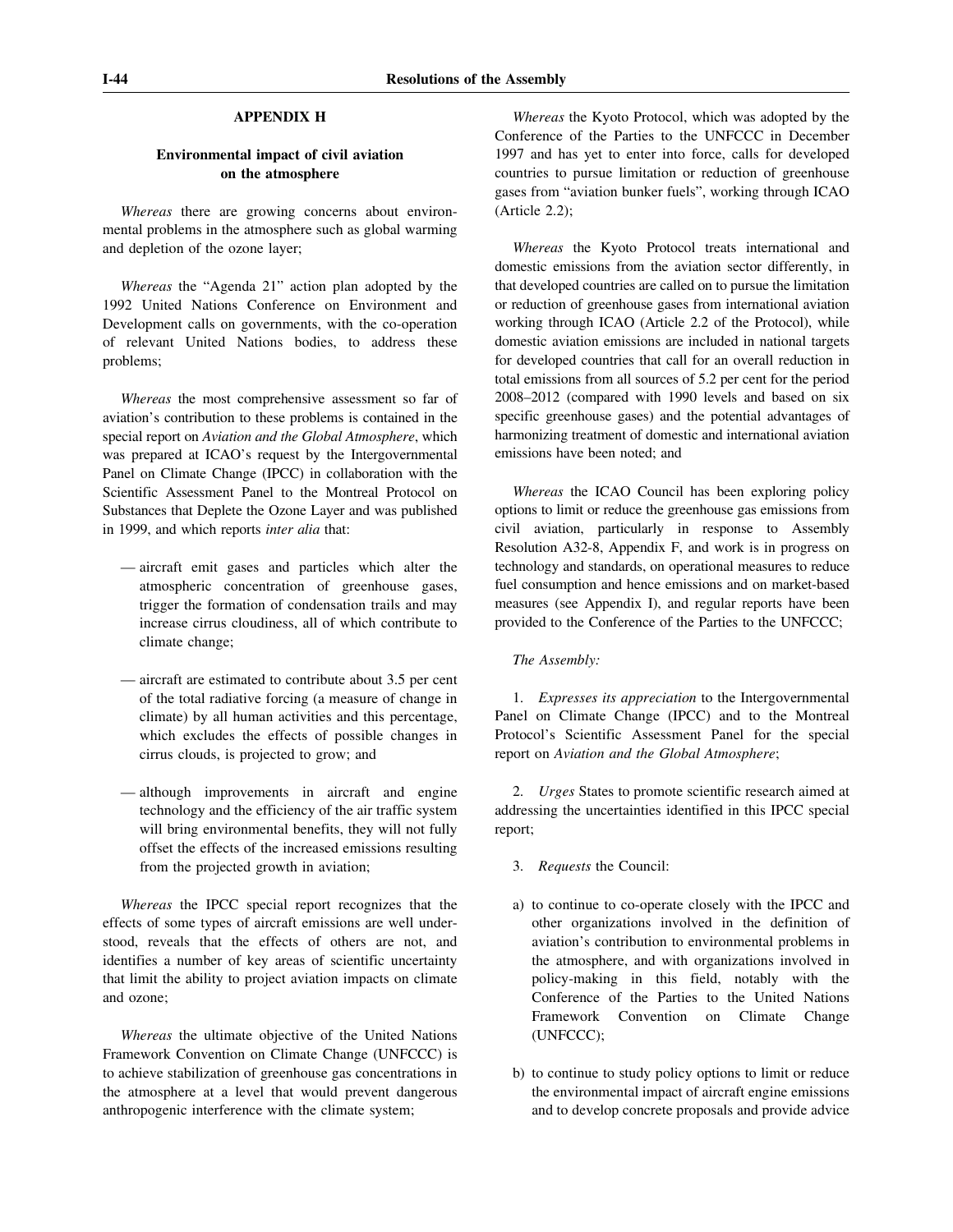# **APPENDIX H**

## **Environmental impact of civil aviation on the atmosphere**

*Whereas* there are growing concerns about environmental problems in the atmosphere such as global warming and depletion of the ozone layer;

*Whereas* the "Agenda 21" action plan adopted by the 1992 United Nations Conference on Environment and Development calls on governments, with the co-operation of relevant United Nations bodies, to address these problems;

*Whereas* the most comprehensive assessment so far of aviation's contribution to these problems is contained in the special report on *Aviation and the Global Atmosphere*, which was prepared at ICAO's request by the Intergovernmental Panel on Climate Change (IPCC) in collaboration with the Scientific Assessment Panel to the Montreal Protocol on Substances that Deplete the Ozone Layer and was published in 1999, and which reports *inter alia* that:

- aircraft emit gases and particles which alter the atmospheric concentration of greenhouse gases, trigger the formation of condensation trails and may increase cirrus cloudiness, all of which contribute to climate change;
- aircraft are estimated to contribute about 3.5 per cent of the total radiative forcing (a measure of change in climate) by all human activities and this percentage, which excludes the effects of possible changes in cirrus clouds, is projected to grow; and
- although improvements in aircraft and engine technology and the efficiency of the air traffic system will bring environmental benefits, they will not fully offset the effects of the increased emissions resulting from the projected growth in aviation;

*Whereas* the IPCC special report recognizes that the effects of some types of aircraft emissions are well understood, reveals that the effects of others are not, and identifies a number of key areas of scientific uncertainty that limit the ability to project aviation impacts on climate and ozone;

*Whereas* the ultimate objective of the United Nations Framework Convention on Climate Change (UNFCCC) is to achieve stabilization of greenhouse gas concentrations in the atmosphere at a level that would prevent dangerous anthropogenic interference with the climate system;

*Whereas* the Kyoto Protocol, which was adopted by the Conference of the Parties to the UNFCCC in December 1997 and has yet to enter into force, calls for developed countries to pursue limitation or reduction of greenhouse gases from "aviation bunker fuels", working through ICAO (Article 2.2);

*Whereas* the Kyoto Protocol treats international and domestic emissions from the aviation sector differently, in that developed countries are called on to pursue the limitation or reduction of greenhouse gases from international aviation working through ICAO (Article 2.2 of the Protocol), while domestic aviation emissions are included in national targets for developed countries that call for an overall reduction in total emissions from all sources of 5.2 per cent for the period 2008–2012 (compared with 1990 levels and based on six specific greenhouse gases) and the potential advantages of harmonizing treatment of domestic and international aviation emissions have been noted; and

*Whereas* the ICAO Council has been exploring policy options to limit or reduce the greenhouse gas emissions from civil aviation, particularly in response to Assembly Resolution A32-8, Appendix F, and work is in progress on technology and standards, on operational measures to reduce fuel consumption and hence emissions and on market-based measures (see Appendix I), and regular reports have been provided to the Conference of the Parties to the UNFCCC;

*The Assembly:*

1. *Expresses its appreciation* to the Intergovernmental Panel on Climate Change (IPCC) and to the Montreal Protocol's Scientific Assessment Panel for the special report on *Aviation and the Global Atmosphere*;

2. *Urges* States to promote scientific research aimed at addressing the uncertainties identified in this IPCC special report;

- 3. *Requests* the Council:
- a) to continue to co-operate closely with the IPCC and other organizations involved in the definition of aviation's contribution to environmental problems in the atmosphere, and with organizations involved in policy-making in this field, notably with the Conference of the Parties to the United Nations Framework Convention on Climate Change (UNFCCC);
- b) to continue to study policy options to limit or reduce the environmental impact of aircraft engine emissions and to develop concrete proposals and provide advice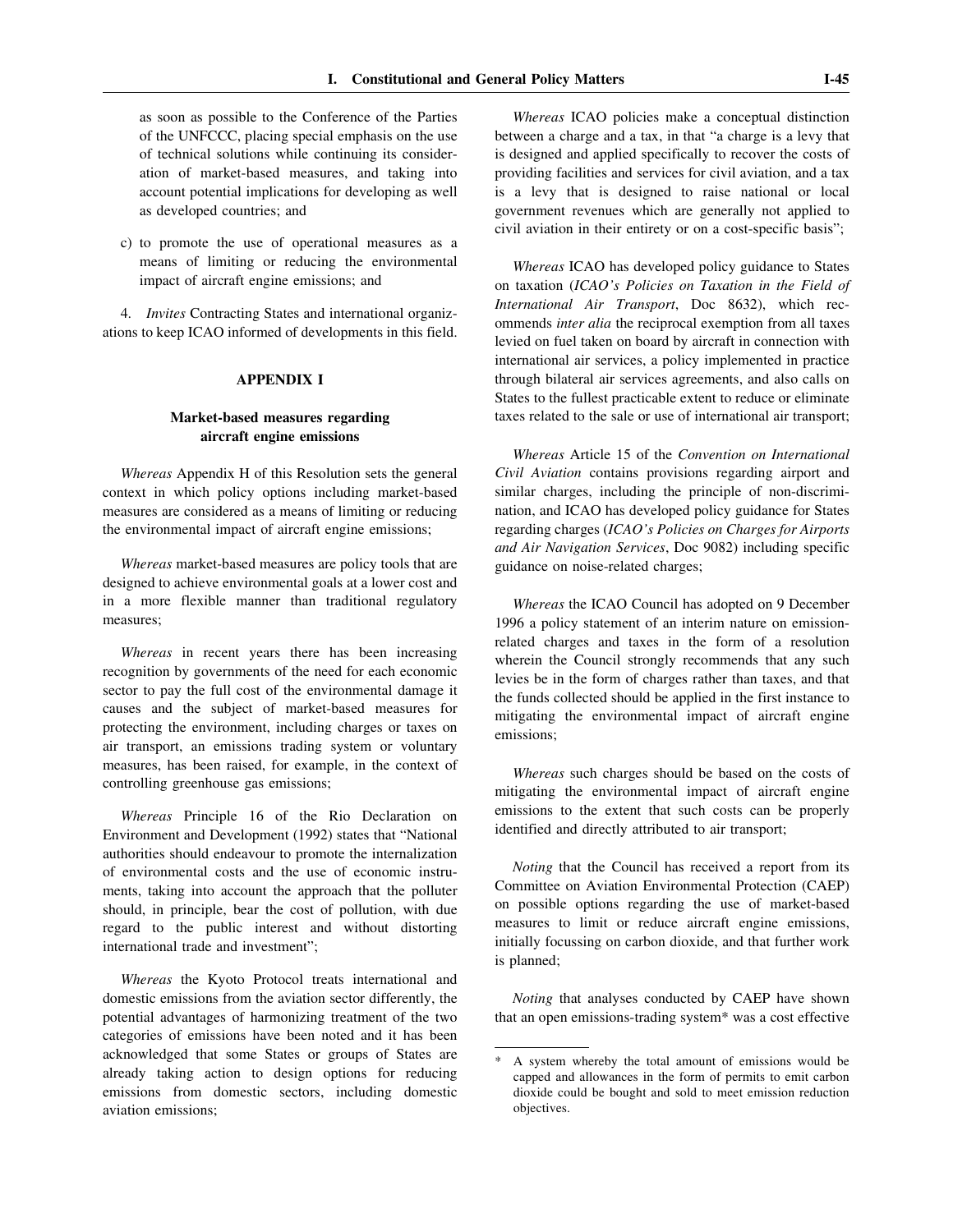as soon as possible to the Conference of the Parties of the UNFCCC, placing special emphasis on the use of technical solutions while continuing its consideration of market-based measures, and taking into account potential implications for developing as well as developed countries; and

c) to promote the use of operational measures as a means of limiting or reducing the environmental impact of aircraft engine emissions; and

4. *Invites* Contracting States and international organizations to keep ICAO informed of developments in this field.

## **APPENDIX I**

# **Market-based measures regarding aircraft engine emissions**

*Whereas* Appendix H of this Resolution sets the general context in which policy options including market-based measures are considered as a means of limiting or reducing the environmental impact of aircraft engine emissions;

*Whereas* market-based measures are policy tools that are designed to achieve environmental goals at a lower cost and in a more flexible manner than traditional regulatory measures;

*Whereas* in recent years there has been increasing recognition by governments of the need for each economic sector to pay the full cost of the environmental damage it causes and the subject of market-based measures for protecting the environment, including charges or taxes on air transport, an emissions trading system or voluntary measures, has been raised, for example, in the context of controlling greenhouse gas emissions;

*Whereas* Principle 16 of the Rio Declaration on Environment and Development (1992) states that "National authorities should endeavour to promote the internalization of environmental costs and the use of economic instruments, taking into account the approach that the polluter should, in principle, bear the cost of pollution, with due regard to the public interest and without distorting international trade and investment";

*Whereas* the Kyoto Protocol treats international and domestic emissions from the aviation sector differently, the potential advantages of harmonizing treatment of the two categories of emissions have been noted and it has been acknowledged that some States or groups of States are already taking action to design options for reducing emissions from domestic sectors, including domestic aviation emissions;

*Whereas* ICAO policies make a conceptual distinction between a charge and a tax, in that "a charge is a levy that is designed and applied specifically to recover the costs of providing facilities and services for civil aviation, and a tax is a levy that is designed to raise national or local government revenues which are generally not applied to civil aviation in their entirety or on a cost-specific basis";

*Whereas* ICAO has developed policy guidance to States on taxation (*ICAO's Policies on Taxation in the Field of International Air Transport*, Doc 8632), which recommends *inter alia* the reciprocal exemption from all taxes levied on fuel taken on board by aircraft in connection with international air services, a policy implemented in practice through bilateral air services agreements, and also calls on States to the fullest practicable extent to reduce or eliminate taxes related to the sale or use of international air transport;

*Whereas* Article 15 of the *Convention on International Civil Aviation* contains provisions regarding airport and similar charges, including the principle of non-discrimination, and ICAO has developed policy guidance for States regarding charges (*ICAO's Policies on Charges for Airports and Air Navigation Services*, Doc 9082) including specific guidance on noise-related charges;

*Whereas* the ICAO Council has adopted on 9 December 1996 a policy statement of an interim nature on emissionrelated charges and taxes in the form of a resolution wherein the Council strongly recommends that any such levies be in the form of charges rather than taxes, and that the funds collected should be applied in the first instance to mitigating the environmental impact of aircraft engine emissions;

*Whereas* such charges should be based on the costs of mitigating the environmental impact of aircraft engine emissions to the extent that such costs can be properly identified and directly attributed to air transport;

*Noting* that the Council has received a report from its Committee on Aviation Environmental Protection (CAEP) on possible options regarding the use of market-based measures to limit or reduce aircraft engine emissions, initially focussing on carbon dioxide, and that further work is planned;

*Noting* that analyses conducted by CAEP have shown that an open emissions-trading system\* was a cost effective

A system whereby the total amount of emissions would be capped and allowances in the form of permits to emit carbon dioxide could be bought and sold to meet emission reduction objectives.